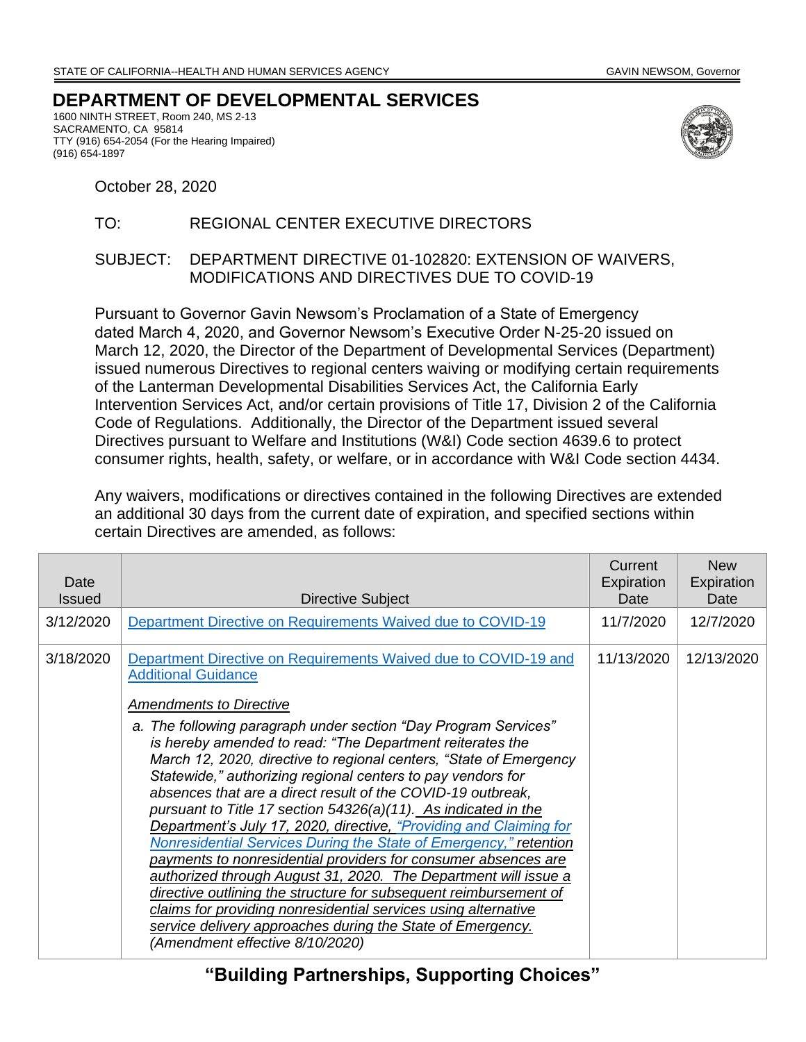## **DEPARTMENT OF DEVELOPMENTAL SERVICES**

1600 NINTH STREET, Room 240, MS 2-13 SACRAMENTO, CA 95814 TTY (916) 654-2054 (For the Hearing Impaired) (916) 654-1897



October 28, 2020

## TO: REGIONAL CENTER EXECUTIVE DIRECTORS

## SUBJECT: DEPARTMENT DIRECTIVE 01-102820: EXTENSION OF WAIVERS, MODIFICATIONS AND DIRECTIVES DUE TO COVID-19

Pursuant to Governor Gavin Newsom's Proclamation of a State of Emergency dated March 4, 2020, and Governor Newsom's Executive Order N-25-20 issued on March 12, 2020, the Director of the Department of Developmental Services (Department) issued numerous Directives to regional centers waiving or modifying certain requirements of the Lanterman Developmental Disabilities Services Act, the California Early Intervention Services Act, and/or certain provisions of Title 17, Division 2 of the California Code of Regulations. Additionally, the Director of the Department issued several Directives pursuant to Welfare and Institutions (W&I) Code section 4639.6 to protect consumer rights, health, safety, or welfare, or in accordance with W&I Code section 4434.

Any waivers, modifications or directives contained in the following Directives are extended an additional 30 days from the current date of expiration, and specified sections within certain Directives are amended, as follows:

| Date<br><b>Issued</b> | Directive Subject                                                                                                                                                                                                                                                                                                                                                                                                                                                                                                                                                                                                                                                                                                                                                                                                                                                                                                          | Current<br>Expiration<br>Date | <b>New</b><br>Expiration<br>Date |
|-----------------------|----------------------------------------------------------------------------------------------------------------------------------------------------------------------------------------------------------------------------------------------------------------------------------------------------------------------------------------------------------------------------------------------------------------------------------------------------------------------------------------------------------------------------------------------------------------------------------------------------------------------------------------------------------------------------------------------------------------------------------------------------------------------------------------------------------------------------------------------------------------------------------------------------------------------------|-------------------------------|----------------------------------|
| 3/12/2020             | Department Directive on Requirements Waived due to COVID-19                                                                                                                                                                                                                                                                                                                                                                                                                                                                                                                                                                                                                                                                                                                                                                                                                                                                | 11/7/2020                     | 12/7/2020                        |
| 3/18/2020             | Department Directive on Requirements Waived due to COVID-19 and<br><b>Additional Guidance</b>                                                                                                                                                                                                                                                                                                                                                                                                                                                                                                                                                                                                                                                                                                                                                                                                                              | 11/13/2020                    | 12/13/2020                       |
|                       | Amendments to Directive                                                                                                                                                                                                                                                                                                                                                                                                                                                                                                                                                                                                                                                                                                                                                                                                                                                                                                    |                               |                                  |
|                       | a. The following paragraph under section "Day Program Services"<br>is hereby amended to read: "The Department reiterates the<br>March 12, 2020, directive to regional centers, "State of Emergency<br>Statewide," authorizing regional centers to pay vendors for<br>absences that are a direct result of the COVID-19 outbreak,<br>pursuant to Title 17 section 54326(a)(11). As indicated in the<br>Department's July 17, 2020, directive, "Providing and Claiming for<br>Nonresidential Services During the State of Emergency," retention<br>payments to nonresidential providers for consumer absences are<br>authorized through August 31, 2020. The Department will issue a<br>directive outlining the structure for subsequent reimbursement of<br>claims for providing nonresidential services using alternative<br>service delivery approaches during the State of Emergency.<br>(Amendment effective 8/10/2020) |                               |                                  |

**"Building Partnerships, Supporting Choices"**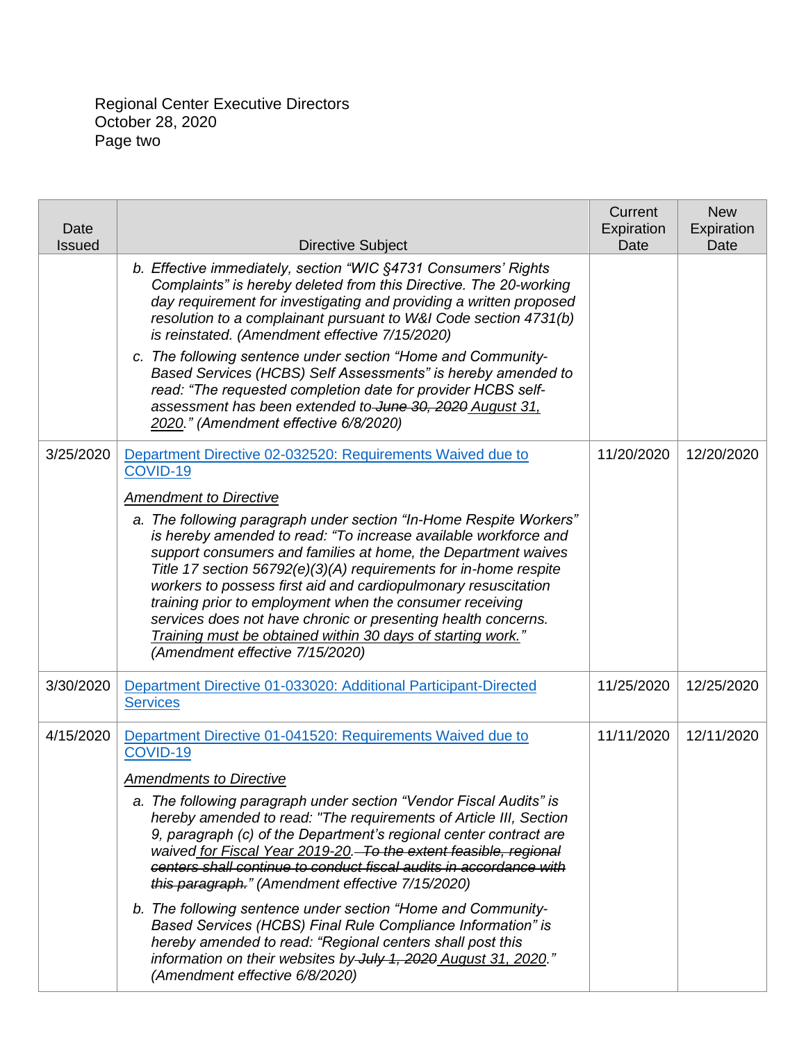Regional Center Executive Directors October 28, 2020 Page two

| Date<br>Issued | <b>Directive Subject</b>                                                                                                                                                                                                                                                                                                                                                                                                                                                                                                                                                                                                                                                                                                                                                                                                | Current<br>Expiration<br>Date | <b>New</b><br>Expiration<br>Date |
|----------------|-------------------------------------------------------------------------------------------------------------------------------------------------------------------------------------------------------------------------------------------------------------------------------------------------------------------------------------------------------------------------------------------------------------------------------------------------------------------------------------------------------------------------------------------------------------------------------------------------------------------------------------------------------------------------------------------------------------------------------------------------------------------------------------------------------------------------|-------------------------------|----------------------------------|
|                | b. Effective immediately, section "WIC §4731 Consumers' Rights<br>Complaints" is hereby deleted from this Directive. The 20-working<br>day requirement for investigating and providing a written proposed<br>resolution to a complainant pursuant to W&I Code section 4731(b)<br>is reinstated. (Amendment effective 7/15/2020)<br>c. The following sentence under section "Home and Community-<br>Based Services (HCBS) Self Assessments" is hereby amended to<br>read: "The requested completion date for provider HCBS self-<br>assessment has been extended to June 30, 2020 August 31,<br>2020." (Amendment effective 6/8/2020)                                                                                                                                                                                    |                               |                                  |
| 3/25/2020      | Department Directive 02-032520: Requirements Waived due to<br>COVID-19<br><b>Amendment to Directive</b><br>a. The following paragraph under section "In-Home Respite Workers"<br>is hereby amended to read: "To increase available workforce and<br>support consumers and families at home, the Department waives<br>Title 17 section 56792(e)(3)(A) requirements for in-home respite<br>workers to possess first aid and cardiopulmonary resuscitation<br>training prior to employment when the consumer receiving<br>services does not have chronic or presenting health concerns.<br>Training must be obtained within 30 days of starting work."<br>(Amendment effective 7/15/2020)                                                                                                                                  | 11/20/2020                    | 12/20/2020                       |
| 3/30/2020      | Department Directive 01-033020: Additional Participant-Directed<br><b>Services</b>                                                                                                                                                                                                                                                                                                                                                                                                                                                                                                                                                                                                                                                                                                                                      | 11/25/2020                    | 12/25/2020                       |
| 4/15/2020      | Department Directive 01-041520: Requirements Waived due to<br>COVID-19<br><b>Amendments to Directive</b><br>a. The following paragraph under section "Vendor Fiscal Audits" is<br>hereby amended to read: "The requirements of Article III, Section<br>9, paragraph (c) of the Department's regional center contract are<br>waived for Fiscal Year 2019-20. To the extent feasible, regional<br>centers shall continue to conduct fiscal audits in accordance with<br>this paragraph." (Amendment effective 7/15/2020)<br>b. The following sentence under section "Home and Community-<br>Based Services (HCBS) Final Rule Compliance Information" is<br>hereby amended to read: "Regional centers shall post this<br>information on their websites by July 1, 2020 August 31, 2020."<br>(Amendment effective 6/8/2020) | 11/11/2020                    | 12/11/2020                       |